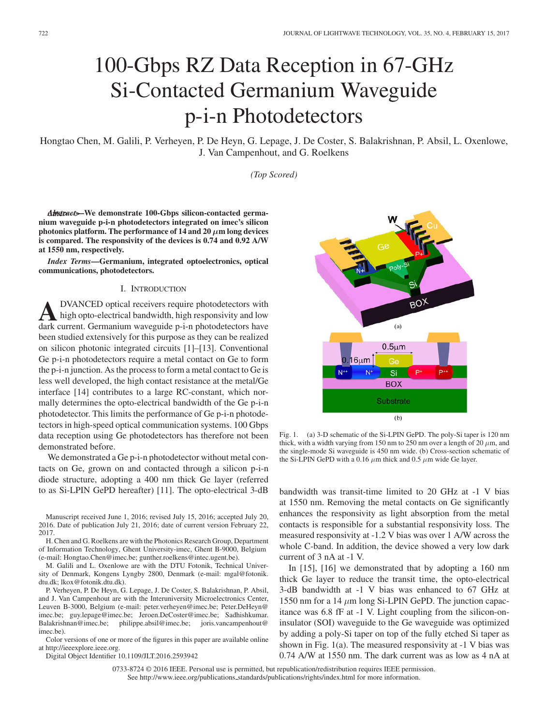# 100-Gbps RZ Data Reception in 67-GHz Si-Contacted Germanium Waveguide p-i-n Photodetectors

Hongtao Chen, M. Galili, P. Verheyen, P. De Heyn, G. Lepage, J. De Coster, S. Balakrishnan, P. Absil, L. Oxenlowe, J. Van Campenhout, and G. Roelkens

*(Top Scored)*

*Abstract***>–We demonstrate 100-Gbps silicon-contacted germanium waveguide p-i-n photodetectors integrated on imec's silicon photonics platform. The performance of 14 and 20**  $\mu$ **m long devices is compared. The responsivity of the devices is 0.74 and 0.92 A/W at 1550 nm, respectively.**

*Index Terms***—Germanium, integrated optoelectronics, optical communications, photodetectors.**

## I. INTRODUCTION

**A**DVANCED optical receivers require photodetectors with high opto-electrical bandwidth, high responsivity and low dark current. Germanium waveguide p-i-n photodetectors have been studied extensively for this purpose as they can be realized on silicon photonic integrated circuits [1]–[13]. Conventional Ge p-i-n photodetectors require a metal contact on Ge to form the p-i-n junction. As the process to form a metal contact to Ge is less well developed, the high contact resistance at the metal/Ge interface [14] contributes to a large RC-constant, which normally determines the opto-electrical bandwidth of the Ge p-i-n photodetector. This limits the performance of Ge p-i-n photodetectors in high-speed optical communication systems. 100 Gbps data reception using Ge photodetectors has therefore not been demonstrated before.

We demonstrated a Ge p-i-n photodetector without metal contacts on Ge, grown on and contacted through a silicon p-i-n diode structure, adopting a 400 nm thick Ge layer (referred to as Si-LPIN GePD hereafter) [11]. The opto-electrical 3-dB

Manuscript received June 1, 2016; revised July 15, 2016; accepted July 20, 2016. Date of publication July 21, 2016; date of current version February 22, 2017.

H. Chen and G. Roelkens are with the Photonics Research Group, Department of Information Technology, Ghent University-imec, Ghent B-9000, Belgium (e-mail: Hongtao.Chen@imec.be; gunther.roelkens@intec.ugent.be).

M. Galili and L. Oxenlowe are with the DTU Fotonik, Technical University of Denmark, Kongens Lyngby 2800, Denmark (e-mail: mgal@fotonik. dtu.dk; lkox@fotonik.dtu.dk).

P. Verheyen, P. De Heyn, G. Lepage, J. De Coster, S. Balakrishnan, P. Absil, and J. Van Campenhout are with the Interuniversity Microelectronics Center, Leuven B-3000, Belgium (e-mail: peter.verheyen@imec.be; Peter.DeHeyn@ imec.be; guy.lepage@imec.be; Jeroen.DeCoster@imec.be; Sadhishkumar. Balakrishnan@imec.be; philippe.absil@imec.be; joris.vancampenhout@ imec.be).

Color versions of one or more of the figures in this paper are available online at http://ieeexplore.ieee.org.

Digital Object Identifier 10.1109/JLT.2016.2593942

BO)  $(a)$  $0.5 \mu m$  $.16<sub>µ</sub>$  $N^+$ N Si **BOX Substrate**  $(b)$ 

Fig. 1. (a) 3-D schematic of the Si-LPIN GePD. The poly-Si taper is 120 nm thick, with a width varying from 150 nm to 250 nm over a length of 20 *µ*m, and the single-mode Si waveguide is 450 nm wide. (b) Cross-section schematic of the Si-LPIN GePD with a 0.16  $\mu$ m thick and 0.5  $\mu$ m wide Ge layer.

bandwidth was transit-time limited to 20 GHz at -1 V bias at 1550 nm. Removing the metal contacts on Ge significantly enhances the responsivity as light absorption from the metal contacts is responsible for a substantial responsivity loss. The measured responsivity at -1.2 V bias was over 1 A/W across the whole C-band. In addition, the device showed a very low dark current of 3 nA at -1 V.

In [15], [16] we demonstrated that by adopting a 160 nm thick Ge layer to reduce the transit time, the opto-electrical 3-dB bandwidth at -1 V bias was enhanced to 67 GHz at 1550 nm for a 14 *µ*m long Si-LPIN GePD. The junction capacitance was 6.8 fF at -1 V. Light coupling from the silicon-oninsulator (SOI) waveguide to the Ge waveguide was optimized by adding a poly-Si taper on top of the fully etched Si taper as shown in Fig. 1(a). The measured responsivity at -1 V bias was 0.74 A/W at 1550 nm. The dark current was as low as 4 nA at

0733-8724 © 2016 IEEE. Personal use is permitted, but republication/redistribution requires IEEE permission. See http://www.ieee.org/publications standards/publications/rights/index.html for more information.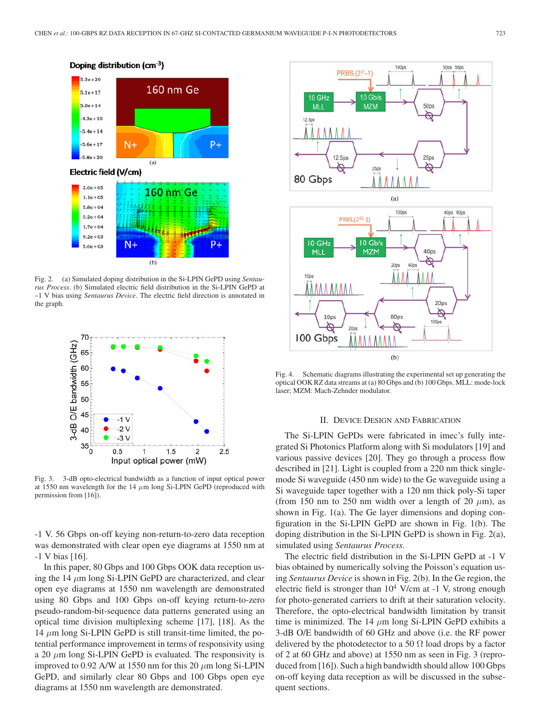

Doping distribution (cm<sup>-3</sup>)

Fig. 2. (a) Simulated doping distribution in the Si-LPIN GePD using *Sentaurus Process*. (b) Simulated electric field distribution in the Si-LPIN GePD at –1 V bias using *Sentaurus Device*. The electric field direction is annotated in the graph.



Fig. 3. 3-dB opto-electrical bandwidth as a function of input optical power at 1550 nm wavelength for the 14 *µ*m long Si-LPIN GePD (reproduced with permission from [16]).

-1 V. 56 Gbps on-off keying non-return-to-zero data reception was demonstrated with clear open eye diagrams at 1550 nm at -1 V bias [16].

In this paper, 80 Gbps and 100 Gbps OOK data reception using the 14 *µ*m long Si-LPIN GePD are characterized, and clear open eye diagrams at 1550 nm wavelength are demonstrated using 80 Gbps and 100 Gbps on-off keying return-to-zero pseudo-random-bit-sequence data patterns generated using an optical time division multiplexing scheme [17], [18]. As the 14 *µ*m long Si-LPIN GePD is still transit-time limited, the potential performance improvement in terms of responsivity using a 20 *µ*m long Si-LPIN GePD is evaluated. The responsivity is improved to 0.92 A/W at 1550 nm for this 20 *µ*m long Si-LPIN GePD, and similarly clear 80 Gbps and 100 Gbps open eye diagrams at 1550 nm wavelength are demonstrated.



Fig. 4. Schematic diagrams illustrating the experimental set up generating the optical OOK RZ data streams at (a) 80 Gbps and (b) 100 Gbps. MLL: mode-lock laser; MZM: Mach-Zehnder modulator.

## II. DEVICE DESIGN AND FABRICATION

The Si-LPIN GePDs were fabricated in imec's fully integrated Si Photonics Platform along with Si modulators [19] and various passive devices [20]. They go through a process flow described in [21]. Light is coupled from a 220 nm thick singlemode Si waveguide (450 nm wide) to the Ge waveguide using a Si waveguide taper together with a 120 nm thick poly-Si taper (from 150 nm to 250 nm width over a length of 20  $\mu$ m), as shown in Fig. 1(a). The Ge layer dimensions and doping configuration in the Si-LPIN GePD are shown in Fig. 1(b). The doping distribution in the Si-LPIN GePD is shown in Fig. 2(a), simulated using *Sentaurus Process*.

The electric field distribution in the Si-LPIN GePD at -1 V bias obtained by numerically solving the Poisson's equation using *Sentaurus Device* is shown in Fig. 2(b). In the Ge region, the electric field is stronger than  $10^4$  V/cm at -1 V, strong enough for photo-generated carriers to drift at their saturation velocity. Therefore, the opto-electrical bandwidth limitation by transit time is minimized. The 14  $\mu$ m long Si-LPIN GePD exhibits a 3-dB O/E bandwidth of 60 GHz and above (i.e. the RF power delivered by the photodetector to a 50  $\Omega$  load drops by a factor of 2 at 60 GHz and above) at 1550 nm as seen in Fig. 3 (reproduced from [16]). Such a high bandwidth should allow 100 Gbps on-off keying data reception as will be discussed in the subsequent sections.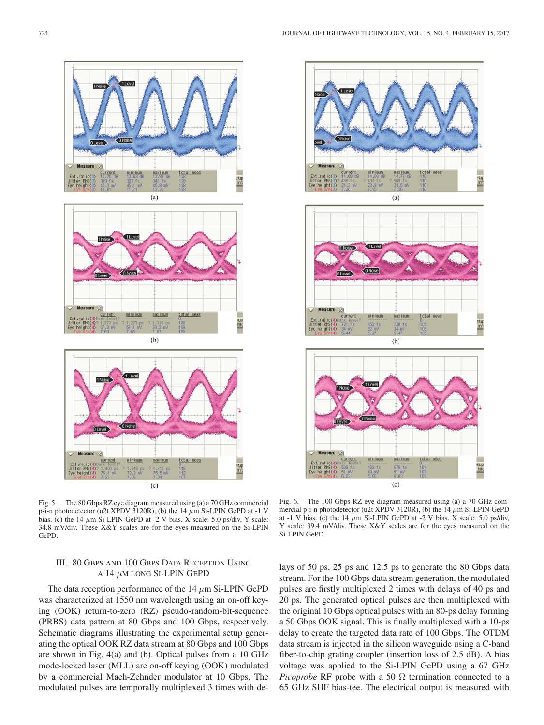



Fig. 5. The 80 Gbps RZ eye diagram measured using (a) a 70 GHz commercial p-i-n photodetector (u2t XPDV 3120R), (b) the 14 *µ*m Si-LPIN GePD at -1 V bias. (c) the 14  $\mu$ m Si-LPIN GePD at -2 V bias. X scale: 5.0 ps/div, Y scale: 34.8 mV/div. These X&Y scales are for the eyes measured on the Si-LPIN GePD.

## III. 80 GBPS AND 100 GBPS DATA RECEPTION USING A 14 *µ*M LONG SI-LPIN GEPD

The data reception performance of the 14 *µ*m Si-LPIN GePD was characterized at 1550 nm wavelength using an on-off keying (OOK) return-to-zero (RZ) pseudo-random-bit-sequence (PRBS) data pattern at 80 Gbps and 100 Gbps, respectively. Schematic diagrams illustrating the experimental setup generating the optical OOK RZ data stream at 80 Gbps and 100 Gbps are shown in Fig. 4(a) and (b). Optical pulses from a 10 GHz mode-locked laser (MLL) are on-off keying (OOK) modulated by a commercial Mach-Zehnder modulator at 10 Gbps. The modulated pulses are temporally multiplexed 3 times with de-

Fig. 6. The 100 Gbps RZ eye diagram measured using (a) a 70 GHz commercial p-i-n photodetector (u2t XPDV 3120R), (b) the 14 *µ*m Si-LPIN GePD at -1 V bias. (c) the 14 *µ*m Si-LPIN GePD at -2 V bias. X scale: 5.0 ps/div, Y scale: 39.4 mV/div. These X&Y scales are for the eyes measured on the Si-LPIN GePD.

lays of 50 ps, 25 ps and 12.5 ps to generate the 80 Gbps data stream. For the 100 Gbps data stream generation, the modulated pulses are firstly multiplexed 2 times with delays of 40 ps and 20 ps. The generated optical pulses are then multiplexed with the original 10 Gbps optical pulses with an 80-ps delay forming a 50 Gbps OOK signal. This is finally multiplexed with a 10-ps delay to create the targeted data rate of 100 Gbps. The OTDM data stream is injected in the silicon waveguide using a C-band fiber-to-chip grating coupler (insertion loss of 2.5 dB). A bias voltage was applied to the Si-LPIN GePD using a 67 GHz *Picoprobe* RF probe with a 50  $\Omega$  termination connected to a 65 GHz SHF bias-tee. The electrical output is measured with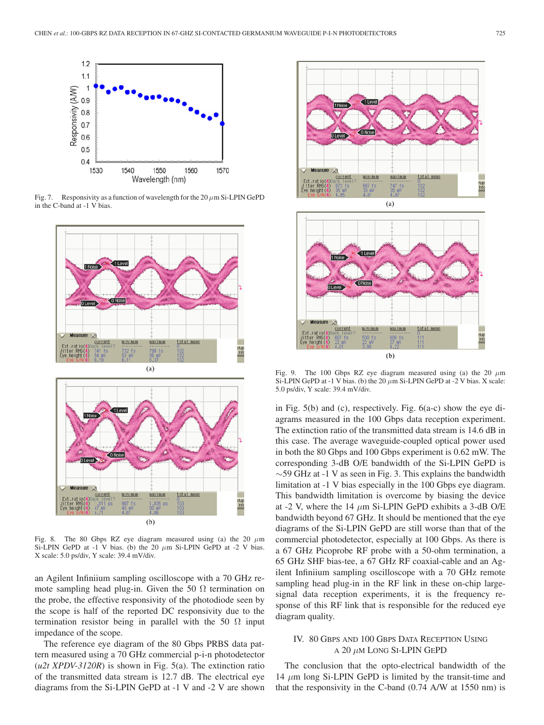

Fig. 7. Responsivity as a function of wavelength for the 20 *µ*m Si-LPIN GePD in the C-band at -1 V bias.



Fig. 8. The 80 Gbps RZ eye diagram measured using (a) the 20  $\mu$ m Si-LPIN GePD at -1 V bias. (b) the 20  $\mu$ m Si-LPIN GePD at -2 V bias. X scale: 5.0 ps/div, Y scale: 39.4 mV/div.

an Agilent Infiniium sampling oscilloscope with a 70 GHz remote sampling head plug-in. Given the 50  $\Omega$  termination on the probe, the effective responsivity of the photodiode seen by the scope is half of the reported DC responsivity due to the termination resistor being in parallel with the 50  $\Omega$  input impedance of the scope.

The reference eye diagram of the 80 Gbps PRBS data pattern measured using a 70 GHz commercial p-i-n photodetector (*u2t XPDV-3120R*) is shown in Fig. 5(a). The extinction ratio of the transmitted data stream is 12.7 dB. The electrical eye diagrams from the Si-LPIN GePD at -1 V and -2 V are shown



Fig. 9. The 100 Gbps RZ eye diagram measured using (a) the 20  $\mu$ m Si-LPIN GePD at -1 V bias. (b) the 20  $\mu$ m Si-LPIN GePD at -2 V bias. X scale: 5.0 ps/div, Y scale: 39.4 mV/div.

in Fig. 5(b) and (c), respectively. Fig. 6(a-c) show the eye diagrams measured in the 100 Gbps data reception experiment. The extinction ratio of the transmitted data stream is 14.6 dB in this case. The average waveguide-coupled optical power used in both the 80 Gbps and 100 Gbps experiment is 0.62 mW. The corresponding 3-dB O/E bandwidth of the Si-LPIN GePD is  $\sim$  59 GHz at -1 V as seen in Fig. 3. This explains the bandwidth limitation at -1 V bias especially in the 100 Gbps eye diagram. This bandwidth limitation is overcome by biasing the device at -2 V, where the 14 *µ*m Si-LPIN GePD exhibits a 3-dB O/E bandwidth beyond 67 GHz. It should be mentioned that the eye diagrams of the Si-LPIN GePD are still worse than that of the commercial photodetector, especially at 100 Gbps. As there is a 67 GHz Picoprobe RF probe with a 50-ohm termination, a 65 GHz SHF bias-tee, a 67 GHz RF coaxial-cable and an Agilent Infiniium sampling oscilloscope with a 70 GHz remote sampling head plug-in in the RF link in these on-chip largesignal data reception experiments, it is the frequency response of this RF link that is responsible for the reduced eye diagram quality.

## IV. 80 GBPS AND 100 GBPS DATA RECEPTION USING A 20 *µ*M LONG SI-LPIN GEPD

The conclusion that the opto-electrical bandwidth of the 14 *µ*m long Si-LPIN GePD is limited by the transit-time and that the responsivity in the C-band (0.74 A/W at 1550 nm) is